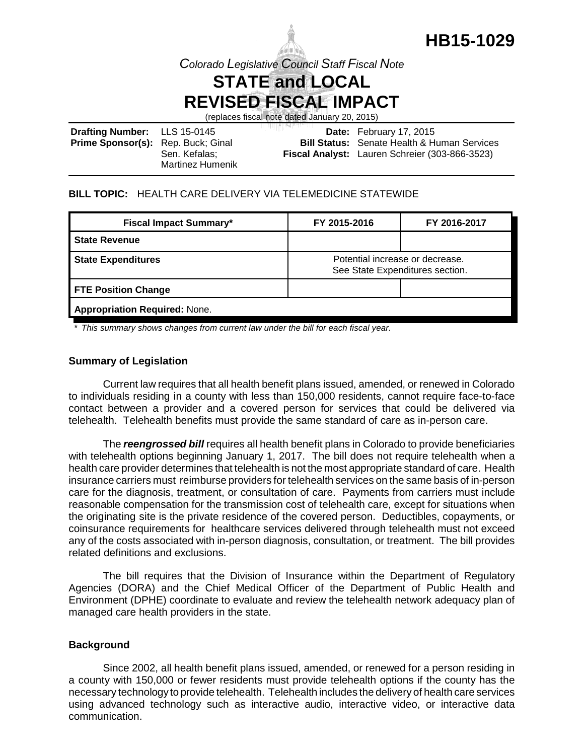

*Colorado Legislative Council Staff Fiscal Note*

# **STATE and LOCAL REVISED FISCAL IMPACT**

(replaces fiscal note dated January 20, 2015)

| <b>Drafting Number:</b> LLS 15-0145       |                         | and the state of the state of the | <b>Date:</b> February 17, 2015                     |
|-------------------------------------------|-------------------------|-----------------------------------|----------------------------------------------------|
| <b>Prime Sponsor(s):</b> Rep. Buck; Ginal |                         |                                   | <b>Bill Status:</b> Senate Health & Human Services |
|                                           | Sen. Kefalas:           |                                   | Fiscal Analyst: Lauren Schreier (303-866-3523)     |
|                                           | <b>Martinez Humenik</b> |                                   |                                                    |

## **BILL TOPIC:** HEALTH CARE DELIVERY VIA TELEMEDICINE STATEWIDE

| <b>Fiscal Impact Summary*</b>        | FY 2015-2016                                                       | FY 2016-2017 |
|--------------------------------------|--------------------------------------------------------------------|--------------|
| <b>State Revenue</b>                 |                                                                    |              |
| <b>State Expenditures</b>            | Potential increase or decrease.<br>See State Expenditures section. |              |
| <b>FTE Position Change</b>           |                                                                    |              |
| <b>Appropriation Required: None.</b> |                                                                    |              |

*\* This summary shows changes from current law under the bill for each fiscal year.* 

## **Summary of Legislation**

Current law requires that all health benefit plans issued, amended, or renewed in Colorado to individuals residing in a county with less than 150,000 residents, cannot require face-to-face contact between a provider and a covered person for services that could be delivered via telehealth. Telehealth benefits must provide the same standard of care as in-person care.

The *reengrossed bill* requires all health benefit plans in Colorado to provide beneficiaries with telehealth options beginning January 1, 2017. The bill does not require telehealth when a health care provider determines that telehealth is not the most appropriate standard of care. Health insurance carriers must reimburse providers for telehealth services on the same basis of in-person care for the diagnosis, treatment, or consultation of care. Payments from carriers must include reasonable compensation for the transmission cost of telehealth care, except for situations when the originating site is the private residence of the covered person. Deductibles, copayments, or coinsurance requirements for healthcare services delivered through telehealth must not exceed any of the costs associated with in-person diagnosis, consultation, or treatment. The bill provides related definitions and exclusions.

The bill requires that the Division of Insurance within the Department of Regulatory Agencies (DORA) and the Chief Medical Officer of the Department of Public Health and Environment (DPHE) coordinate to evaluate and review the telehealth network adequacy plan of managed care health providers in the state.

#### **Background**

Since 2002, all health benefit plans issued, amended, or renewed for a person residing in a county with 150,000 or fewer residents must provide telehealth options if the county has the necessary technology to provide telehealth. Telehealth includes the delivery of health care services using advanced technology such as interactive audio, interactive video, or interactive data communication.